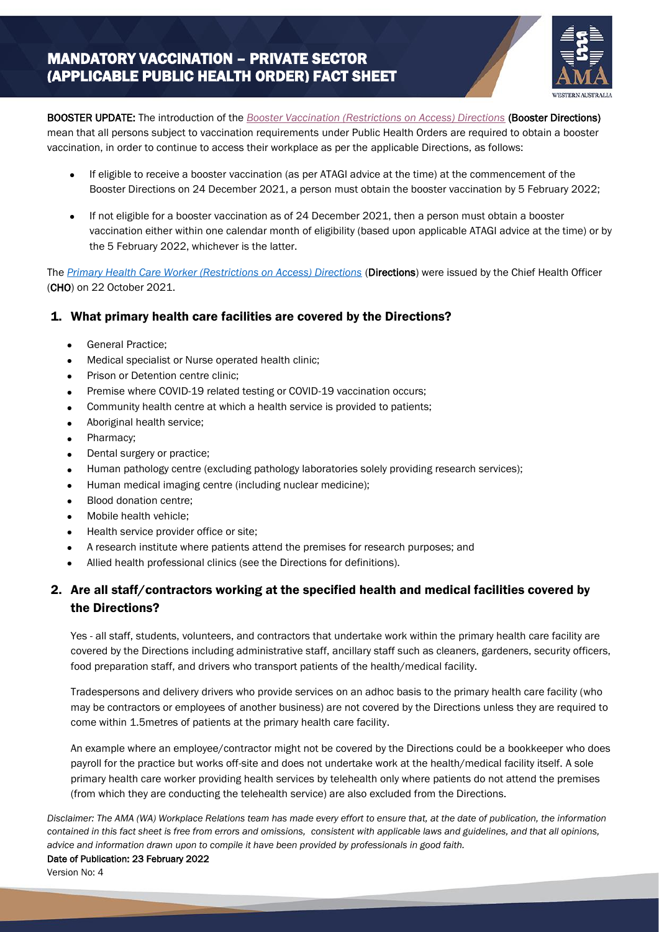

BOOSTER UPDATE: The introduction of the *[Booster Vaccination \(Restrictions on Access\) Directions](https://www.wa.gov.au/government/document-collections/covid-19-coronavirus-mandatory-vaccination)* (Booster Directions) mean that all persons subject to vaccination requirements under Public Health Orders are required to obtain a booster vaccination, in order to continue to access their workplace as per the applicable Directions, as follows:

- If eligible to receive a booster vaccination (as per ATAGI advice at the time) at the commencement of the Booster Directions on 24 December 2021, a person must obtain the booster vaccination by 5 February 2022;
- If not eligible for a booster vaccination as of 24 December 2021, then a person must obtain a booster vaccination either within one calendar month of eligibility (based upon applicable ATAGI advice at the time) or by the 5 February 2022, whichever is the latter.

The *[Primary Health Care Worker \(Restrictions on Access\) Directions](https://www.wa.gov.au/government/document-collections/covid-19-coronavirus-mandatory-vaccination)* (Directions) were issued by the Chief Health Officer (CHO) on 22 October 2021.

## 1. What primary health care facilities are covered by the Directions?

General Practice;

֖֖ׅ֖֖֖֧֧֧֖֧֖֧֚֚֚֚֚֚֚֚֚֚֚֚֚֚֚֚֚֚֚֚֚֚֚֚֚֬֡֡֡֬֡֡֬֝֬֝֓֬֝֓֬֝֬֞֝֬֝֬

- Medical specialist or Nurse operated health clinic;
- Prison or Detention centre clinic;
- Premise where COVID-19 related testing or COVID-19 vaccination occurs;
- Community health centre at which a health service is provided to patients;
- Aboriginal health service;
- Pharmacy:
- Dental surgery or practice;
- Human pathology centre (excluding pathology laboratories solely providing research services);
- Human medical imaging centre (including nuclear medicine);
- Blood donation centre;
- Mobile health vehicle;
- Health service provider office or site;
- A research institute where patients attend the premises for research purposes; and
- Allied health professional clinics (see the Directions for definitions).

# 2. Are all staff/contractors working at the specified health and medical facilities covered by the Directions?

Yes - all staff, students, volunteers, and contractors that undertake work within the primary health care facility are covered by the Directions including administrative staff, ancillary staff such as cleaners, gardeners, security officers, food preparation staff, and drivers who transport patients of the health/medical facility.

Tradespersons and delivery drivers who provide services on an adhoc basis to the primary health care facility (who may be contractors or employees of another business) are not covered by the Directions unless they are required to come within 1.5metres of patients at the primary health care facility.

An example where an employee/contractor might not be covered by the Directions could be a bookkeeper who does payroll for the practice but works off-site and does not undertake work at the health/medical facility itself. A sole primary health care worker providing health services by telehealth only where patients do not attend the premises (from which they are conducting the telehealth service) are also excluded from the Directions.

*Disclaimer: The AMA (WA) Workplace Relations team has made every effort to ensure that, at the date of publication, the information contained in this fact sheet is free from errors and omissions, consistent with applicable laws and guidelines, and that all opinions, advice and information drawn upon to compile it have been provided by professionals in good faith.*

### Date of Publication:23 February 2022

Version No: 4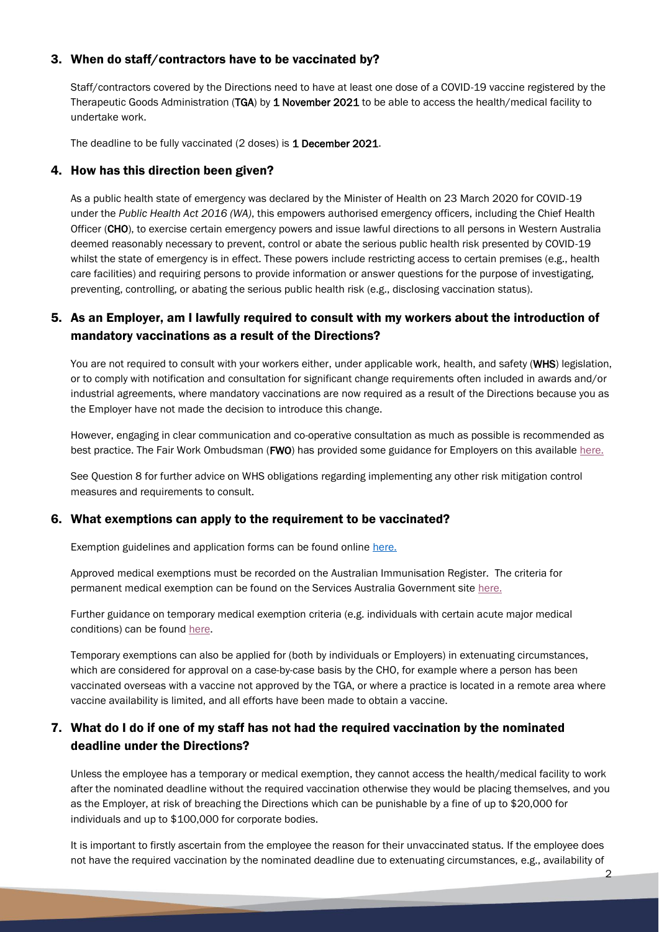### 3. When do staff/contractors have to be vaccinated by?

Staff/contractors covered by the Directions need to have at least one dose of a COVID-19 vaccine registered by the Therapeutic Goods Administration (TGA) by 1 November 2021 to be able to access the health/medical facility to undertake work.

The deadline to be fully vaccinated (2 doses) is 1 December 2021.

### 4. How has this direction been given?

As a public health state of emergency was declared by the Minister of Health on 23 March 2020 for COVID-19 under the *Public Health Act 2016 (WA)*, this empowers authorised emergency officers, including the Chief Health Officer (CHO), to exercise certain emergency powers and issue lawful directions to all persons in Western Australia deemed reasonably necessary to prevent, control or abate the serious public health risk presented by COVID-19 whilst the state of emergency is in effect. These powers include restricting access to certain premises (e.g., health care facilities) and requiring persons to provide information or answer questions for the purpose of investigating, preventing, controlling, or abating the serious public health risk (e.g., disclosing vaccination status).

## 5. As an Employer, am I lawfully required to consult with my workers about the introduction of mandatory vaccinations as a result of the Directions?

You are not required to consult with your workers either, under applicable work, health, and safety (WHS) legislation, or to comply with notification and consultation for significant change requirements often included in awards and/or industrial agreements, where mandatory vaccinations are now required as a result of the Directions because you as the Employer have not made the decision to introduce this change.

However, engaging in clear communication and co-operative consultation as much as possible is recommended as best practice. The Fair Work Ombudsman (FWO) has provided some guidance for Employers on this available [here.](https://www.fairwork.gov.au/tools-and-resources/best-practice-guides/consultation-and-cooperation-in-the-workplace)

See Question 8 for further advice on WHS obligations regarding implementing any other risk mitigation control measures and requirements to consult.

### 6. What exemptions can apply to the requirement to be vaccinated?

Exemption guidelines and application forms can be found online [here.](https://www.wa.gov.au/government/document-collections/covid-19-coronavirus-mandatory-vaccination)

Approved medical exemptions must be recorded on the Australian Immunisation Register. The criteria for permanent medical exemption can be found on the Services Australia Government site [here.](https://www.servicesaustralia.gov.au/individuals/services/medicare/australian-immunisation-register/what-register/immunisation-medical-exemptions)

Further guidance on temporary medical exemption criteria (e.g. individuals with certain acute major medical conditions) can be foun[d here.](https://www.health.gov.au/resources/publications/atagi-expanded-guidance-on-temporary-medical-exemptions-for-covid-19-vaccines)

Temporary exemptions can also be applied for (both by individuals or Employers) in extenuating circumstances, which are considered for approval on a case-by-case basis by the CHO, for example where a person has been vaccinated overseas with a vaccine not approved by the TGA, or where a practice is located in a remote area where vaccine availability is limited, and all efforts have been made to obtain a vaccine.

## 7. What do I do if one of my staff has not had the required vaccination by the nominated deadline under the Directions?

Unless the employee has a temporary or medical exemption, they cannot access the health/medical facility to work after the nominated deadline without the required vaccination otherwise they would be placing themselves, and you as the Employer, at risk of breaching the Directions which can be punishable by a fine of up to \$20,000 for individuals and up to \$100,000 for corporate bodies.

It is important to firstly ascertain from the employee the reason for their unvaccinated status. If the employee does not have the required vaccination by the nominated deadline due to extenuating circumstances, e.g., availability of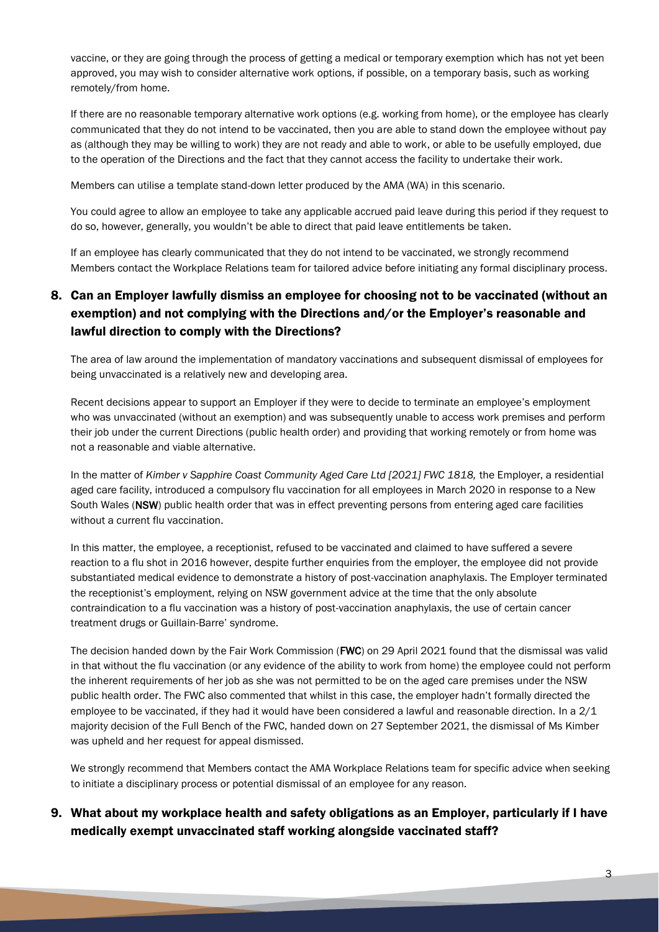vaccine, or they are going through the process of getting a medical or temporary exemption which has not yet been approved, you may wish to consider alternative work options, if possible, on a temporary basis, such as working remotely/from home.

If there are no reasonable temporary alternative work options (e.g. working from home), or the employee has clearly communicated that they do not intend to be vaccinated, then you are able to stand down the employee without pay as (although they may be willing to work) they are not ready and able to work, or able to be usefully employed, due to the operation of the Directions and the fact that they cannot access the facility to undertake their work.

Members can utilise a template stand-down letter produced by the AMA (WA) in this scenario.

You could agree to allow an employee to take any applicable accrued paid leave during this period if they request to do so, however, generally, you wouldn't be able to direct that paid leave entitlements be taken.

If an employee has clearly communicated that they do not intend to be vaccinated, we strongly recommend Members contact the Workplace Relations team for tailored advice before initiating any formal disciplinary process.

# 8. Can an Employer lawfully dismiss an employee for choosing not to be vaccinated (without an exemption) and not complying with the Directions and/or the Employer's reasonable and lawful direction to comply with the Directions?

The area of law around the implementation of mandatory vaccinations and subsequent dismissal of employees for being unvaccinated is a relatively new and developing area.

Recent decisions appear to support an Employer if they were to decide to terminate an employee's employment who was unvaccinated (without an exemption) and was subsequently unable to access work premises and perform their job under the current Directions (public health order) and providing that working remotely or from home was not a reasonable and viable alternative.

In the matter of *Kimber v Sapphire Coast Community Aged Care Ltd [2021] FWC 1818,* the Employer, a residential aged care facility, introduced a compulsory flu vaccination for all employees in March 2020 in response to a New South Wales (NSW) public health order that was in effect preventing persons from entering aged care facilities without a current flu vaccination.

In this matter, the employee, a receptionist, refused to be vaccinated and claimed to have suffered a severe reaction to a flu shot in 2016 however, despite further enquiries from the employer, the employee did not provide substantiated medical evidence to demonstrate a history of post-vaccination anaphylaxis. The Employer terminated the receptionist's employment, relying on NSW government advice at the time that the only absolute contraindication to a flu vaccination was a history of post-vaccination anaphylaxis, the use of certain cancer treatment drugs or Guillain-Barre' syndrome.

The decision handed down by the Fair Work Commission (FWC) on 29 April 2021 found that the dismissal was valid in that without the flu vaccination (or any evidence of the ability to work from home) the employee could not perform the inherent requirements of her job as she was not permitted to be on the aged care premises under the NSW public health order. The FWC also commented that whilst in this case, the employer hadn't formally directed the employee to be vaccinated, if they had it would have been considered a lawful and reasonable direction. In a 2/1 majority decision of the Full Bench of the FWC, handed down on 27 September 2021, the dismissal of Ms Kimber was upheld and her request for appeal dismissed.

We strongly recommend that Members contact the AMA Workplace Relations team for specific advice when seeking to initiate a disciplinary process or potential dismissal of an employee for any reason.

## 9. What about my workplace health and safety obligations as an Employer, particularly if I have medically exempt unvaccinated staff working alongside vaccinated staff?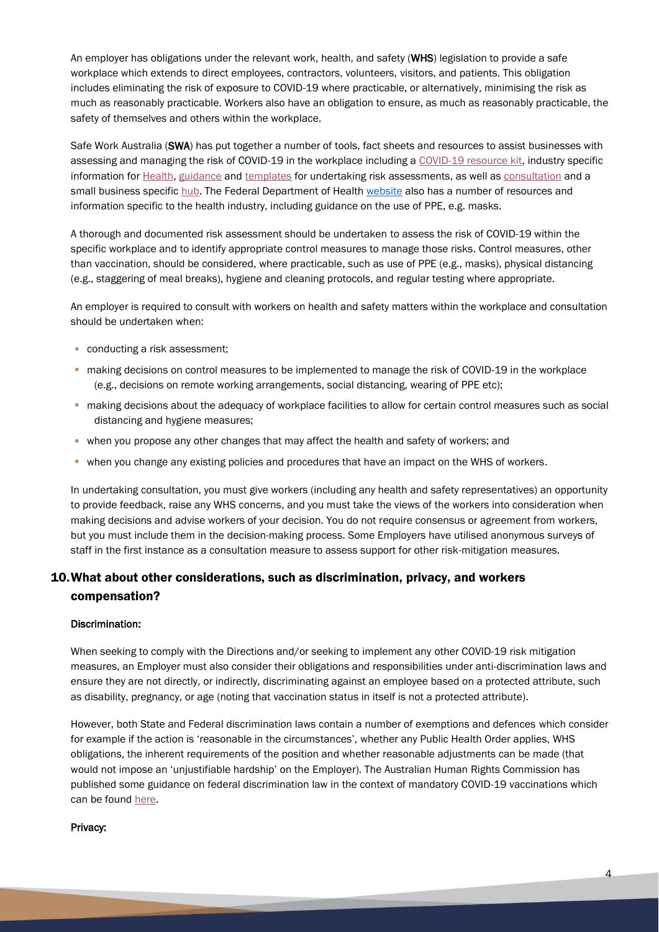An employer has obligations under the relevant work, health, and safety (WHS) legislation to provide a safe workplace which extends to direct employees, contractors, volunteers, visitors, and patients. This obligation includes eliminating the risk of exposure to COVID-19 where practicable, or alternatively, minimising the risk as much as reasonably practicable. Workers also have an obligation to ensure, as much as reasonably practicable, the safety of themselves and others within the workplace.

Safe Work Australia (SWA) has put together a number of tools, fact sheets and resources to assist businesses with assessing and managing the risk of COVID-19 in the workplace including a [COVID-19 resource kit,](https://covid19.swa.gov.au/collection/covid-19-resource-kit) industry specific information for [Health,](https://covid19.swa.gov.au/covid-19-information-workplaces/industry-information/health-care) [guidance](https://covid19.swa.gov.au/covid-19-information-workplaces/industry-information/general-industry-information/risk-assessment) and [templates](https://covid19.swa.gov.au/doc/template-and-example-covid-19-risk-register) for undertaking risk assessments, as well as [consultation](https://covid19.swa.gov.au/covid-19-information-workplaces/industry-information/general-industry-information/consultation) and a small business specifi[c hub.](https://covid19.swa.gov.au/covid-19-information-small-business) The Federal Department of Health [website](https://www.health.gov.au/resources/collections/coronavirus-covid-19-resources-for-health-professionals-including-aged-care-providers-pathology-providers-and-health-care-managers) also has a number of resources and information specific to the health industry, including guidance on the use of PPE, e.g. masks.

A thorough and documented risk assessment should be undertaken to assess the risk of COVID-19 within the specific workplace and to identify appropriate control measures to manage those risks. Control measures, other than vaccination, should be considered, where practicable, such as use of PPE (e.g., masks), physical distancing (e.g., staggering of meal breaks), hygiene and cleaning protocols, and regular testing where appropriate.

An employer is required to consult with workers on health and safety matters within the workplace and consultation should be undertaken when:

- conducting a risk assessment;
- **·** making decisions on control measures to be implemented to manage the risk of COVID-19 in the workplace (e.g., decisions on remote working arrangements, social distancing, wearing of PPE etc);
- **.** making decisions about the adequacy of workplace facilities to allow for certain control measures such as social distancing and hygiene measures;
- when you propose any other changes that may affect the health and safety of workers; and
- **when you change any existing policies and procedures that have an impact on the WHS of workers.**

In undertaking consultation, you must give workers (including any health and safety representatives) an opportunity to provide feedback, raise any WHS concerns, and you must take the views of the workers into consideration when making decisions and advise workers of your decision. You do not require consensus or agreement from workers, but you must include them in the decision-making process. Some Employers have utilised anonymous surveys of staff in the first instance as a consultation measure to assess support for other risk-mitigation measures.

# 10.What about other considerations, such as discrimination, privacy, and workers compensation?

### Discrimination:

When seeking to comply with the Directions and/or seeking to implement any other COVID-19 risk mitigation measures, an Employer must also consider their obligations and responsibilities under anti-discrimination laws and ensure they are not directly, or indirectly, discriminating against an employee based on a protected attribute, such as disability, pregnancy, or age (noting that vaccination status in itself is not a protected attribute).

However, both State and Federal discrimination laws contain a number of exemptions and defences which consider for example if the action is 'reasonable in the circumstances', whether any Public Health Order applies, WHS obligations, the inherent requirements of the position and whether reasonable adjustments can be made (that would not impose an 'unjustifiable hardship' on the Employer). The Australian Human Rights Commission has published some guidance on federal discrimination law in the context of mandatory COVID-19 vaccinations which can be foun[d here.](https://humanrights.gov.au/about/covid19-and-human-rights/covid-19-vaccinations-and-federal-discrimination-law)

#### Privacy: